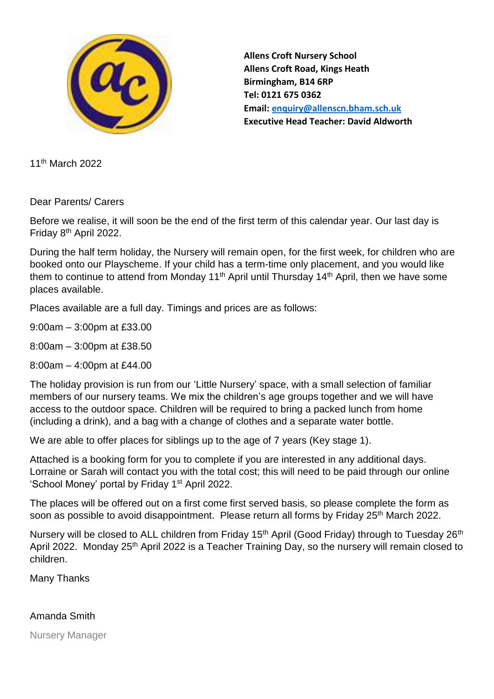

**Allens Croft Nursery School Allens Croft Road, Kings Heath Birmingham, B14 6RP Tel: 0121 675 0362 Email: [enquiry@allenscn.bham.sch.uk](mailto:enquiry@allenscn.bham.sch.uk) Executive Head Teacher: David Aldworth**

11th March 2022

Dear Parents/ Carers

Before we realise, it will soon be the end of the first term of this calendar year. Our last day is Friday 8th April 2022.

During the half term holiday, the Nursery will remain open, for the first week, for children who are booked onto our Playscheme. If your child has a term-time only placement, and you would like them to continue to attend from Monday 11<sup>th</sup> April until Thursday 14<sup>th</sup> April, then we have some places available.

Places available are a full day. Timings and prices are as follows:

9:00am – 3:00pm at £33.00

8:00am – 3:00pm at £38.50

8:00am – 4:00pm at £44.00

The holiday provision is run from our 'Little Nursery' space, with a small selection of familiar members of our nursery teams. We mix the children's age groups together and we will have access to the outdoor space. Children will be required to bring a packed lunch from home (including a drink), and a bag with a change of clothes and a separate water bottle.

We are able to offer places for siblings up to the age of 7 years (Key stage 1).

Attached is a booking form for you to complete if you are interested in any additional days. Lorraine or Sarah will contact you with the total cost; this will need to be paid through our online 'School Money' portal by Friday 1<sup>st</sup> April 2022.

The places will be offered out on a first come first served basis, so please complete the form as soon as possible to avoid disappointment. Please return all forms by Friday 25<sup>th</sup> March 2022.

Nursery will be closed to ALL children from Friday 15<sup>th</sup> April (Good Friday) through to Tuesday 26<sup>th</sup> April 2022. Monday 25<sup>th</sup> April 2022 is a Teacher Training Day, so the nursery will remain closed to children.

Many Thanks

## Amanda Smith

Nursery Manager